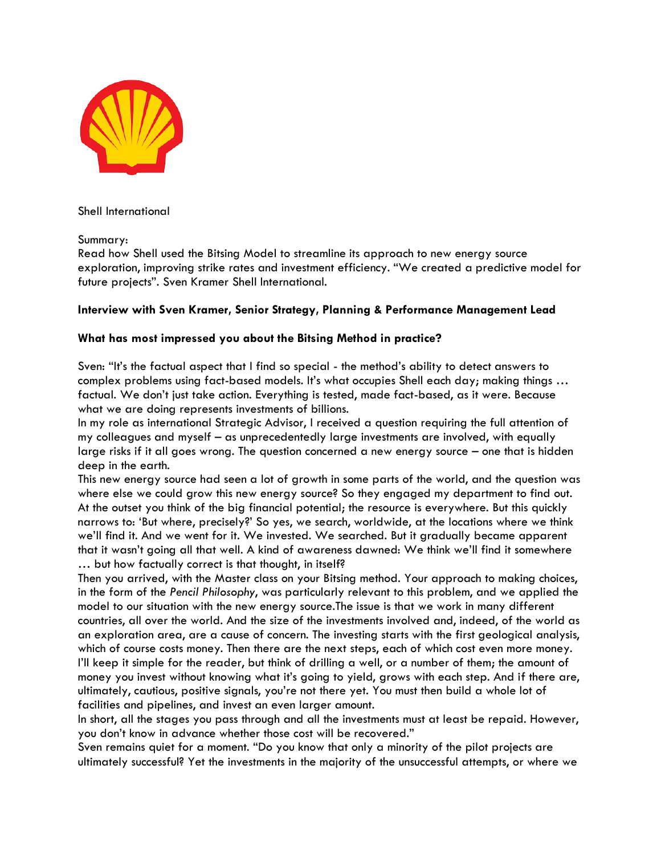

#### Shell International

## Summary:

Read how Shell used the Bitsing Model to streamline its approach to new energy source exploration, improving strike rates and investment efficiency. "We created a predictive model for future projects". Sven Kramer Shell International.

# **Interview with Sven Kramer, Senior Strategy, Planning & Performance Management Lead**

## **What has most impressed you about the Bitsing Method in practice?**

Sven: "It's the factual aspect that I find so special - the method's ability to detect answers to complex problems using fact-based models. It's what occupies Shell each day; making things … factual. We don't just take action. Everything is tested, made fact-based, as it were. Because what we are doing represents investments of billions.

In my role as international Strategic Advisor, I received a question requiring the full attention of my colleagues and myself – as unprecedentedly large investments are involved, with equally large risks if it all goes wrong. The question concerned a new energy source – one that is hidden deep in the earth.

This new energy source had seen a lot of growth in some parts of the world, and the question was where else we could grow this new energy source? So they engaged my department to find out. At the outset you think of the big financial potential; the resource is everywhere. But this quickly narrows to: 'But where, precisely?' So yes, we search, worldwide, at the locations where we think we'll find it. And we went for it. We invested. We searched. But it gradually became apparent that it wasn't going all that well. A kind of awareness dawned: We think we'll find it somewhere … but how factually correct is that thought, in itself?

Then you arrived, with the Master class on your Bitsing method. Your approach to making choices, in the form of the *Pencil Philosophy*, was particularly relevant to this problem, and we applied the model to our situation with the new energy source.The issue is that we work in many different countries, all over the world. And the size of the investments involved and, indeed, of the world as an exploration area, are a cause of concern. The investing starts with the first geological analysis, which of course costs money. Then there are the next steps, each of which cost even more money. I'll keep it simple for the reader, but think of drilling a well, or a number of them; the amount of money you invest without knowing what it's going to yield, grows with each step. And if there are, ultimately, cautious, positive signals, you're not there yet. You must then build a whole lot of facilities and pipelines, and invest an even larger amount.

In short, all the stages you pass through and all the investments must at least be repaid. However, you don't know in advance whether those cost will be recovered."

Sven remains quiet for a moment. "Do you know that only a minority of the pilot projects are ultimately successful? Yet the investments in the majority of the unsuccessful attempts, or where we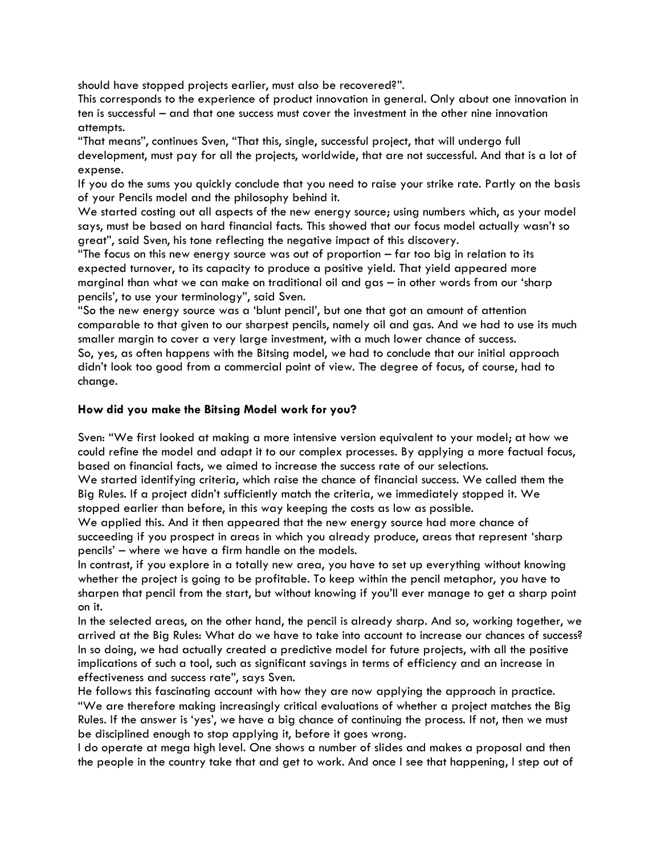should have stopped projects earlier, must also be recovered?".

This corresponds to the experience of product innovation in general. Only about one innovation in ten is successful – and that one success must cover the investment in the other nine innovation attempts.

"That means", continues Sven, "That this, single, successful project, that will undergo full development, must pay for all the projects, worldwide, that are not successful. And that is a lot of expense.

If you do the sums you quickly conclude that you need to raise your strike rate. Partly on the basis of your Pencils model and the philosophy behind it.

We started costing out all aspects of the new energy source; using numbers which, as your model says, must be based on hard financial facts. This showed that our focus model actually wasn't so great", said Sven, his tone reflecting the negative impact of this discovery.

"The focus on this new energy source was out of proportion – far too big in relation to its expected turnover, to its capacity to produce a positive yield. That yield appeared more marginal than what we can make on traditional oil and gas – in other words from our 'sharp pencils', to use your terminology", said Sven.

"So the new energy source was a 'blunt pencil', but one that got an amount of attention comparable to that given to our sharpest pencils, namely oil and gas. And we had to use its much smaller margin to cover a very large investment, with a much lower chance of success. So, yes, as often happens with the Bitsing model, we had to conclude that our initial approach didn't look too good from a commercial point of view. The degree of focus, of course, had to change.

## **How did you make the Bitsing Model work for you?**

Sven: "We first looked at making a more intensive version equivalent to your model; at how we could refine the model and adapt it to our complex processes. By applying a more factual focus, based on financial facts, we aimed to increase the success rate of our selections.

We started identifying criteria, which raise the chance of financial success. We called them the Big Rules. If a project didn't sufficiently match the criteria, we immediately stopped it. We stopped earlier than before, in this way keeping the costs as low as possible.

We applied this. And it then appeared that the new energy source had more chance of succeeding if you prospect in areas in which you already produce, areas that represent 'sharp pencils' – where we have a firm handle on the models.

In contrast, if you explore in a totally new area, you have to set up everything without knowing whether the project is going to be profitable. To keep within the pencil metaphor, you have to sharpen that pencil from the start, but without knowing if you'll ever manage to get a sharp point on it.

In the selected areas, on the other hand, the pencil is already sharp. And so, working together, we arrived at the Big Rules: What do we have to take into account to increase our chances of success? In so doing, we had actually created a predictive model for future projects, with all the positive implications of such a tool, such as significant savings in terms of efficiency and an increase in effectiveness and success rate", says Sven.

He follows this fascinating account with how they are now applying the approach in practice. "We are therefore making increasingly critical evaluations of whether a project matches the Big Rules. If the answer is 'yes', we have a big chance of continuing the process. If not, then we must be disciplined enough to stop applying it, before it goes wrong.

I do operate at mega high level. One shows a number of slides and makes a proposal and then the people in the country take that and get to work. And once I see that happening, I step out of